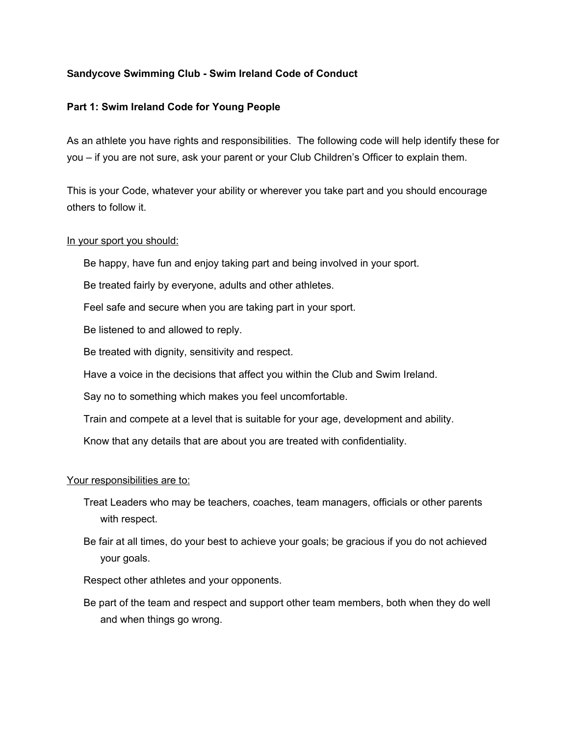# **Sandycove Swimming Club - Swim Ireland Code of Conduct**

# **Part 1: Swim Ireland Code for Young People**

As an athlete you have rights and responsibilities. The following code will help identify these for you – if you are not sure, ask your parent or your Club Children's Officer to explain them.

This is your Code, whatever your ability or wherever you take part and you should encourage others to follow it.

### In your sport you should:

Be happy, have fun and enjoy taking part and being involved in your sport.

Be treated fairly by everyone, adults and other athletes.

Feel safe and secure when you are taking part in your sport.

Be listened to and allowed to reply.

Be treated with dignity, sensitivity and respect.

Have a voice in the decisions that affect you within the Club and Swim Ireland.

Say no to something which makes you feel uncomfortable.

Train and compete at a level that is suitable for your age, development and ability.

Know that any details that are about you are treated with confidentiality.

#### Your responsibilities are to:

- Treat Leaders who may be teachers, coaches, team managers, officials or other parents with respect.
- Be fair at all times, do your best to achieve your goals; be gracious if you do not achieved your goals.

Respect other athletes and your opponents.

Be part of the team and respect and support other team members, both when they do well and when things go wrong.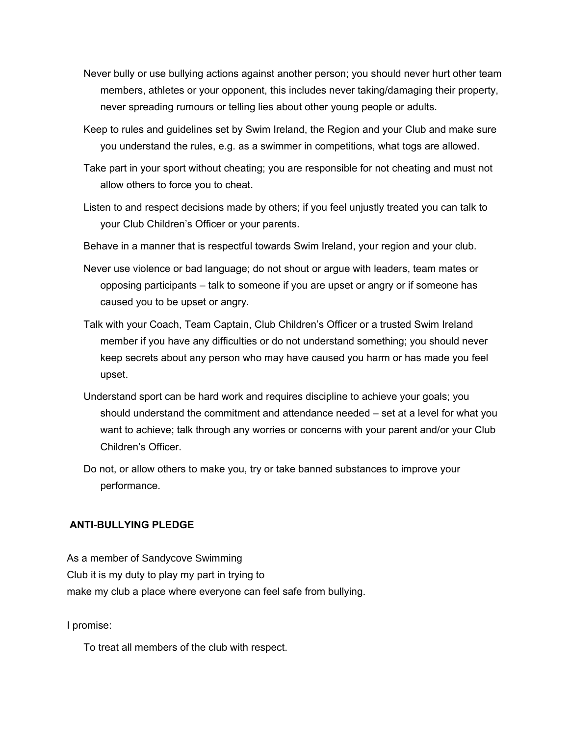- Never bully or use bullying actions against another person; you should never hurt other team members, athletes or your opponent, this includes never taking/damaging their property, never spreading rumours or telling lies about other young people or adults.
- Keep to rules and guidelines set by Swim Ireland, the Region and your Club and make sure you understand the rules, e.g. as a swimmer in competitions, what togs are allowed.
- Take part in your sport without cheating; you are responsible for not cheating and must not allow others to force you to cheat.
- Listen to and respect decisions made by others; if you feel unjustly treated you can talk to your Club Children's Officer or your parents.
- Behave in a manner that is respectful towards Swim Ireland, your region and your club.
- Never use violence or bad language; do not shout or argue with leaders, team mates or opposing participants – talk to someone if you are upset or angry or if someone has caused you to be upset or angry.
- Talk with your Coach, Team Captain, Club Children's Officer or a trusted Swim Ireland member if you have any difficulties or do not understand something; you should never keep secrets about any person who may have caused you harm or has made you feel upset.
- Understand sport can be hard work and requires discipline to achieve your goals; you should understand the commitment and attendance needed – set at a level for what you want to achieve; talk through any worries or concerns with your parent and/or your Club Children's Officer.
- Do not, or allow others to make you, try or take banned substances to improve your performance.

# **ANTI-BULLYING PLEDGE**

As a member of Sandycove Swimming Club it is my duty to play my part in trying to make my club a place where everyone can feel safe from bullying.

I promise:

To treat all members of the club with respect.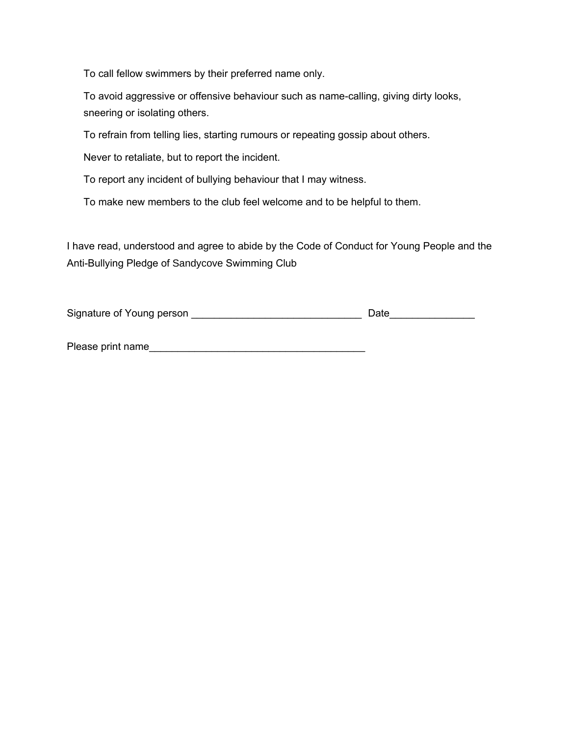To call fellow swimmers by their preferred name only.

To avoid aggressive or offensive behaviour such as name-calling, giving dirty looks, sneering or isolating others.

To refrain from telling lies, starting rumours or repeating gossip about others.

Never to retaliate, but to report the incident.

To report any incident of bullying behaviour that I may witness.

To make new members to the club feel welcome and to be helpful to them.

I have read, understood and agree to abide by the Code of Conduct for Young People and the Anti-Bullying Pledge of Sandycove Swimming Club

| Signature of Young person | <b>Date</b> |
|---------------------------|-------------|
|---------------------------|-------------|

| Please print name |
|-------------------|
|-------------------|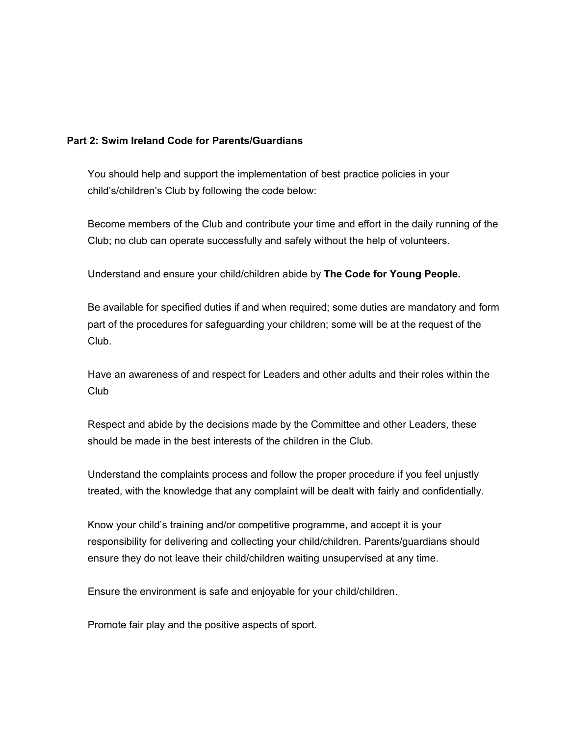### **Part 2: Swim Ireland Code for Parents/Guardians**

You should help and support the implementation of best practice policies in your child's/children's Club by following the code below:

Become members of the Club and contribute your time and effort in the daily running of the Club; no club can operate successfully and safely without the help of volunteers.

Understand and ensure your child/children abide by **The Code for Young People.**

Be available for specified duties if and when required; some duties are mandatory and form part of the procedures for safeguarding your children; some will be at the request of the Club.

Have an awareness of and respect for Leaders and other adults and their roles within the Club

Respect and abide by the decisions made by the Committee and other Leaders, these should be made in the best interests of the children in the Club.

Understand the complaints process and follow the proper procedure if you feel unjustly treated, with the knowledge that any complaint will be dealt with fairly and confidentially.

Know your child's training and/or competitive programme, and accept it is your responsibility for delivering and collecting your child/children. Parents/guardians should ensure they do not leave their child/children waiting unsupervised at any time.

Ensure the environment is safe and enjoyable for your child/children.

Promote fair play and the positive aspects of sport.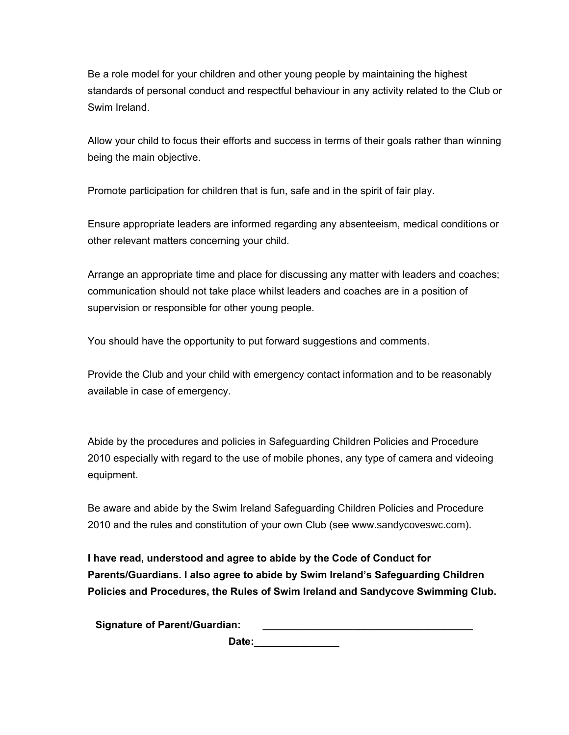Be a role model for your children and other young people by maintaining the highest standards of personal conduct and respectful behaviour in any activity related to the Club or Swim Ireland.

Allow your child to focus their efforts and success in terms of their goals rather than winning being the main objective.

Promote participation for children that is fun, safe and in the spirit of fair play.

Ensure appropriate leaders are informed regarding any absenteeism, medical conditions or other relevant matters concerning your child.

Arrange an appropriate time and place for discussing any matter with leaders and coaches; communication should not take place whilst leaders and coaches are in a position of supervision or responsible for other young people.

You should have the opportunity to put forward suggestions and comments.

Provide the Club and your child with emergency contact information and to be reasonably available in case of emergency.

Abide by the procedures and policies in Safeguarding Children Policies and Procedure 2010 especially with regard to the use of mobile phones, any type of camera and videoing equipment.

Be aware and abide by the Swim Ireland Safeguarding Children Policies and Procedure 2010 and the rules and constitution of your own Club (see www.sandycoveswc.com).

**I have read, understood and agree to abide by the Code of Conduct for Parents/Guardians. I also agree to abide by Swim Ireland's Safeguarding Children Policies and Procedures, the Rules of Swim Ireland and Sandycove Swimming Club.** 

**Signature of Parent/Guardian: \_\_\_\_\_\_\_\_\_\_\_\_\_\_\_\_\_\_\_\_\_\_\_\_\_\_\_\_\_\_\_\_\_\_\_\_\_**

**Date:\_\_\_\_\_\_\_\_\_\_\_\_\_\_\_**